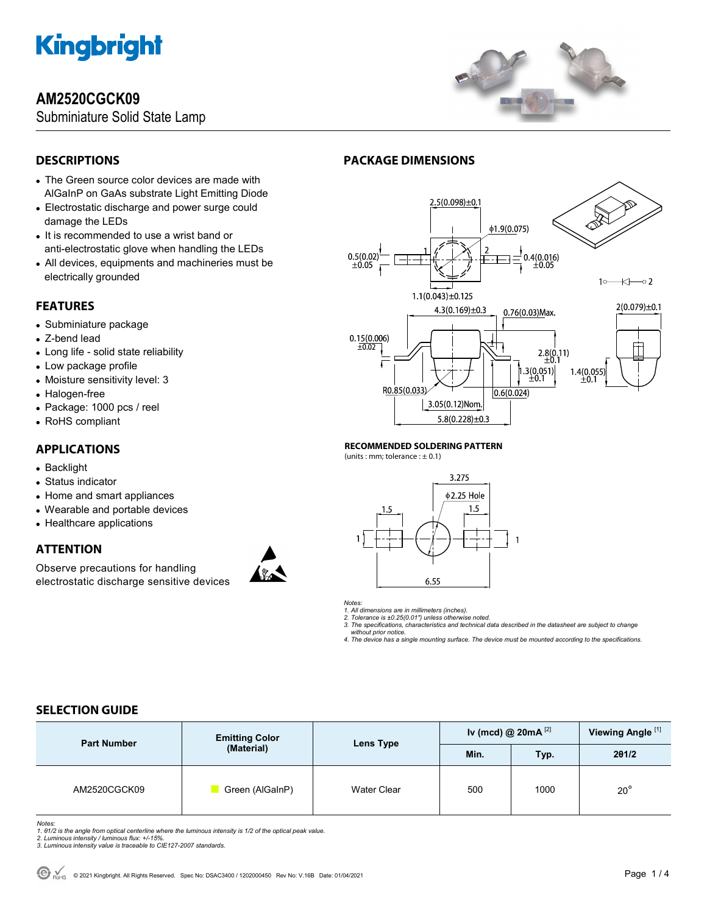## **AM2520CGCK09**

Subminiature Solid State Lamp



## **DESCRIPTIONS**

- The Green source color devices are made with AlGaInP on GaAs substrate Light Emitting Diode
- Electrostatic discharge and power surge could damage the LEDs
- It is recommended to use a wrist band or anti-electrostatic glove when handling the LEDs
- All devices, equipments and machineries must be electrically grounded

### **FEATURES**

- Subminiature package
- Z-bend lead
- Long life solid state reliability
- Low package profile
- Moisture sensitivity level: 3
- Halogen-free
- Package: 1000 pcs / reel
- RoHS compliant

### **APPLICATIONS**

- Backlight
- Status indicator
- Home and smart appliances
- Wearable and portable devices
- Healthcare applications

### **ATTENTION**

Observe precautions for handling electrostatic discharge sensitive devices



## **PACKAGE DIMENSIONS**



**RECOMMENDED SOLDERING PATTERN** 

(units : mm; tolerance :  $\pm$  0.1)



*Notes:* 

*1. All dimensions are in millimeters (inches).* 

*2. Tolerance is ±0.25(0.01") unless otherwise noted. 3. The specifications, characteristics and technical data described in the datasheet are subject to change* 

 *without prior notice.* 

*4. The device has a single mounting surface. The device must be mounted according to the specifications.* 

## **SELECTION GUIDE**

| <b>Part Number</b> | <b>Emitting Color</b><br>(Material) | Lens Type          | Iv (mcd) @ $20mA^{[2]}$ |      | Viewing Angle <sup>[1]</sup> |
|--------------------|-------------------------------------|--------------------|-------------------------|------|------------------------------|
|                    |                                     |                    | Min.                    | Typ. | 201/2                        |
| AM2520CGCK09       | Green (AlGaInP)                     | <b>Water Clear</b> | 500                     | 1000 | $20^{\circ}$                 |

*Notes:* 

*1. θ1/2 is the angle from optical centerline where the luminous intensity is 1/2 of the optical peak value.* 

*2. Luminous intensity / luminous flux: +/-15%. 3. Luminous intensity value is traceable to CIE127-2007 standards.*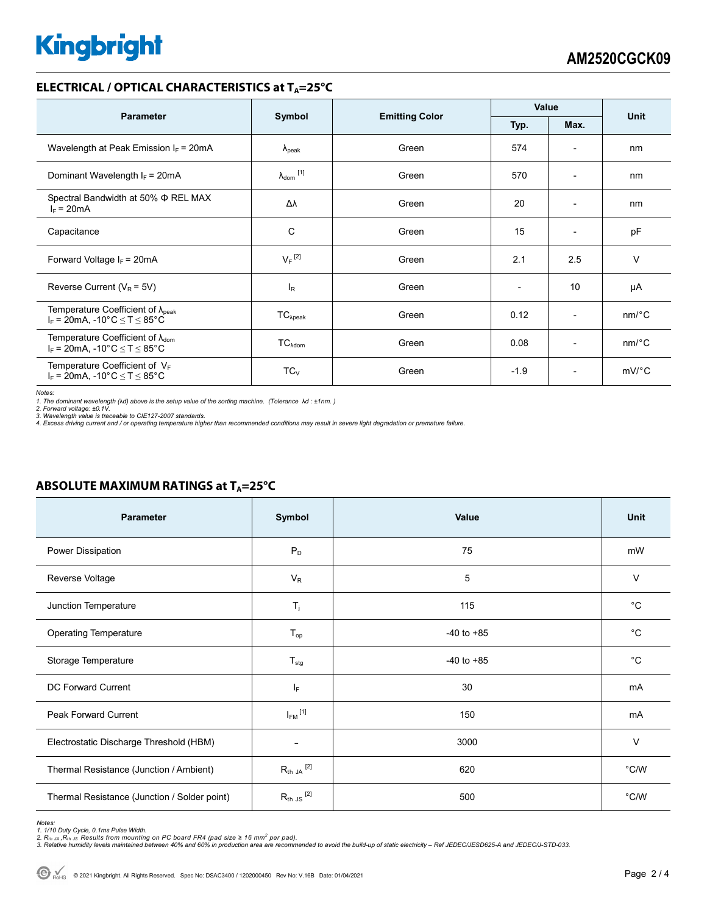#### **ELECTRICAL / OPTICAL CHARACTERISTICS at T<sub>A</sub>=25°C**

| <b>Parameter</b>                                                                           | Symbol               |                       | Value                    |                          | <b>Unit</b>           |
|--------------------------------------------------------------------------------------------|----------------------|-----------------------|--------------------------|--------------------------|-----------------------|
|                                                                                            |                      | <b>Emitting Color</b> | Typ.                     | Max.                     |                       |
| Wavelength at Peak Emission $I_F$ = 20mA                                                   | $\lambda_{\rm peak}$ | Green                 | 574                      | $\overline{\phantom{0}}$ | nm                    |
| Dominant Wavelength $I_F = 20mA$                                                           | $\lambda_{dom}$ [1]  | Green                 | 570                      | $\overline{\phantom{a}}$ | nm                    |
| Spectral Bandwidth at 50% $\Phi$ REL MAX<br>$I_F = 20mA$                                   | Δλ                   | Green                 | 20                       | $\overline{\phantom{a}}$ | nm                    |
| Capacitance                                                                                | C                    | Green                 | 15                       | $\overline{a}$           | pF                    |
| Forward Voltage $I_F$ = 20mA                                                               | $V_F$ <sup>[2]</sup> | Green                 | 2.1                      | 2.5                      | v                     |
| Reverse Current ( $V_R$ = 5V)                                                              | $I_{R}$              | Green                 | $\overline{\phantom{a}}$ | 10                       | μA                    |
| Temperature Coefficient of $\lambda_{peak}$<br>$I_F = 20$ mA, -10°C $\le T \le 85$ °C      | $TC_{\lambda peak}$  | Green                 | 0.12                     | $\overline{\phantom{a}}$ | $nm$ <sup>o</sup> $C$ |
| Temperature Coefficient of $\lambda_{\text{dom}}$<br>$I_F$ = 20mA, -10°C $\le T \le 85$ °C | $TC_{\lambda dom}$   | Green                 | 0.08                     | $\overline{a}$           | $nm$ <sup>o</sup> $C$ |
| Temperature Coefficient of $V_F$<br>$I_F$ = 20mA, -10°C $\leq T \leq 85$ °C                | $TC_V$               | Green                 | $-1.9$                   | $\overline{\phantom{a}}$ | $mV$ °C               |

*Notes:* 

1. The dominant wavelength (λd) above is the setup value of the sorting machine. (Tolerance λd : ±1nm. )<br>2. Forward voltage: ±0.1V.<br>3. Wavelength value is traceable to CIE127-2007 standards.<br>4. Excess driving current and

#### **ABSOLUTE MAXIMUM RATINGS at T<sub>A</sub>=25°C**

| Parameter                                    | Symbol                   | <b>Value</b>   | <b>Unit</b> |
|----------------------------------------------|--------------------------|----------------|-------------|
| Power Dissipation                            | $P_D$                    | 75             | mW          |
| Reverse Voltage                              | $V_R$                    | 5              | V           |
| Junction Temperature                         | $T_j$                    | 115            | $^{\circ}C$ |
| <b>Operating Temperature</b>                 | $T_{op}$                 | $-40$ to $+85$ | $^{\circ}C$ |
| Storage Temperature                          | $T_{\text{stg}}$         | $-40$ to $+85$ | $^{\circ}C$ |
| <b>DC Forward Current</b>                    | IF.                      | 30             | mA          |
| Peak Forward Current                         | $I_{FM}$ <sup>[1]</sup>  | 150            | mA          |
| Electrostatic Discharge Threshold (HBM)      | $\overline{\phantom{a}}$ | 3000           | $\vee$      |
| Thermal Resistance (Junction / Ambient)      | $R_{th}$ JA $^{[2]}$     | 620            | °C/W        |
| Thermal Resistance (Junction / Solder point) | $R_{th}$ JS $^{[2]}$     | 500            | °C/W        |

Notes:<br>1. 1/10 Duty Cycle, 0.1ms Pulse Width.<br>2. R<sub>th JA</sub> ,R<sub>th JS</sub> Results from mounting on PC board FR4 (pad size ≥ 16 mm<sup>2</sup> per pad).<br>3. Relative humidity levels maintained between 40% and 60% in production area are re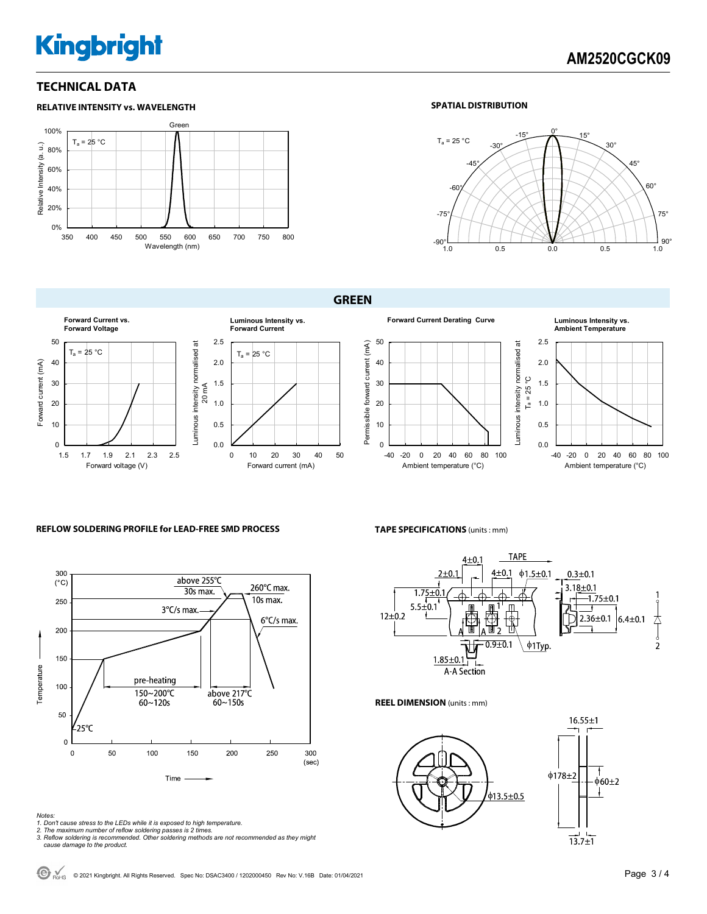### **TECHNICAL DATA**



#### **SPATIAL DISTRIBUTION**



**GREEN** 



#### **REFLOW SOLDERING PROFILE for LEAD-FREE SMD PROCESS**



*Notes:* 

- *1. Don't cause stress to the LEDs while it is exposed to high temperature.*
- 
- *2. The maximum number of reflow soldering passes is 2 times. 3. Reflow soldering is recommended. Other soldering methods are not recommended as they might cause damage to the product.*

-40 -20 0 20 40 60 80 100 Ambient temperature (°C) Luminous intensity normalised at





**TAPE SPECIFICATIONS** (units : mm)



**REEL DIMENSION** (units : mm)